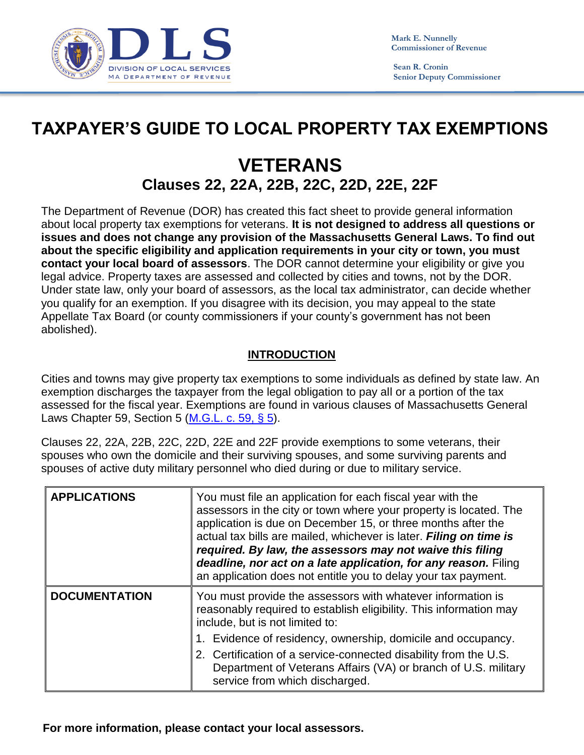

 **Sean R. Cronin Senior Deputy Commissioner**

## **TAXPAYER'S GUIDE TO LOCAL PROPERTY TAX EXEMPTIONS**

## **VETERANS Clauses 22, 22A, 22B, 22C, 22D, 22E, 22F**

The Department of Revenue (DOR) has created this fact sheet to provide general information about local property tax exemptions for veterans. **It is not designed to address all questions or issues and does not change any provision of the Massachusetts General Laws. To find out about the specific eligibility and application requirements in your city or town, you must contact your local board of assessors**. The DOR cannot determine your eligibility or give you legal advice. Property taxes are assessed and collected by cities and towns, not by the DOR. Under state law, only your board of assessors, as the local tax administrator, can decide whether you qualify for an exemption. If you disagree with its decision, you may appeal to the state Appellate Tax Board (or county commissioners if your county's government has not been abolished).

## **INTRODUCTION**

Cities and towns may give property tax exemptions to some individuals as defined by state law. An exemption discharges the taxpayer from the legal obligation to pay all or a portion of the tax assessed for the fiscal year. Exemptions are found in various clauses of Massachusetts General Laws Chapter 59, Section 5 [\(M.G.L. c. 59, § 5\)](http://www.malegislature.gov/Laws/GeneralLaws/PartI/TitleIX/Chapter59/Section5).

Clauses 22, 22A, 22B, 22C, 22D, 22E and 22F provide exemptions to some veterans, their spouses who own the domicile and their surviving spouses, and some surviving parents and spouses of active duty military personnel who died during or due to military service.

| <b>APPLICATIONS</b>  | You must file an application for each fiscal year with the<br>assessors in the city or town where your property is located. The<br>application is due on December 15, or three months after the<br>actual tax bills are mailed, whichever is later. Filing on time is<br>required. By law, the assessors may not waive this filing<br>deadline, nor act on a late application, for any reason. Filing<br>an application does not entitle you to delay your tax payment. |
|----------------------|-------------------------------------------------------------------------------------------------------------------------------------------------------------------------------------------------------------------------------------------------------------------------------------------------------------------------------------------------------------------------------------------------------------------------------------------------------------------------|
| <b>DOCUMENTATION</b> | You must provide the assessors with whatever information is<br>reasonably required to establish eligibility. This information may<br>include, but is not limited to:<br>1. Evidence of residency, ownership, domicile and occupancy.<br>2. Certification of a service-connected disability from the U.S.<br>Department of Veterans Affairs (VA) or branch of U.S. military<br>service from which discharged.                                                            |

**For more information, please contact your local assessors.**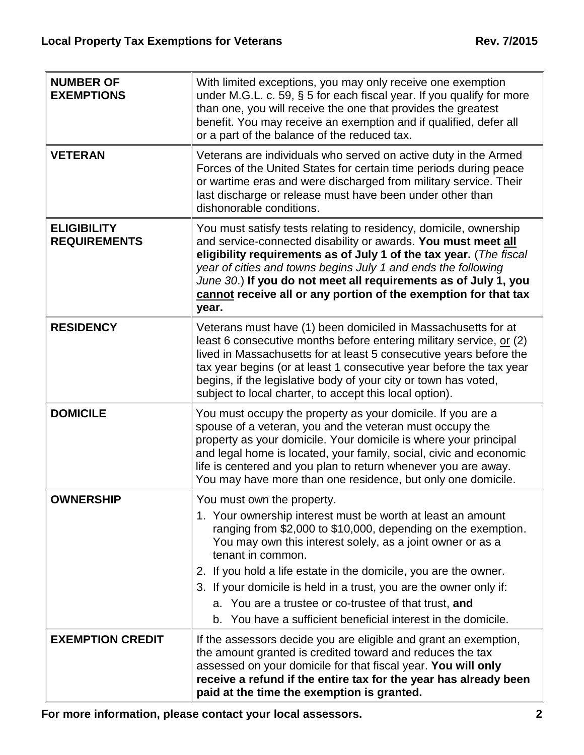| <b>NUMBER OF</b><br><b>EXEMPTIONS</b>     | With limited exceptions, you may only receive one exemption<br>under M.G.L. c. 59, § 5 for each fiscal year. If you qualify for more<br>than one, you will receive the one that provides the greatest<br>benefit. You may receive an exemption and if qualified, defer all<br>or a part of the balance of the reduced tax.                                                                                                                                                                                        |
|-------------------------------------------|-------------------------------------------------------------------------------------------------------------------------------------------------------------------------------------------------------------------------------------------------------------------------------------------------------------------------------------------------------------------------------------------------------------------------------------------------------------------------------------------------------------------|
| <b>VETERAN</b>                            | Veterans are individuals who served on active duty in the Armed<br>Forces of the United States for certain time periods during peace<br>or wartime eras and were discharged from military service. Their<br>last discharge or release must have been under other than<br>dishonorable conditions.                                                                                                                                                                                                                 |
| <b>ELIGIBILITY</b><br><b>REQUIREMENTS</b> | You must satisfy tests relating to residency, domicile, ownership<br>and service-connected disability or awards. You must meet all<br>eligibility requirements as of July 1 of the tax year. (The fiscal<br>year of cities and towns begins July 1 and ends the following<br>June 30.) If you do not meet all requirements as of July 1, you<br>cannot receive all or any portion of the exemption for that tax<br>year.                                                                                          |
| <b>RESIDENCY</b>                          | Veterans must have (1) been domiciled in Massachusetts for at<br>least 6 consecutive months before entering military service, or (2)<br>lived in Massachusetts for at least 5 consecutive years before the<br>tax year begins (or at least 1 consecutive year before the tax year<br>begins, if the legislative body of your city or town has voted,<br>subject to local charter, to accept this local option).                                                                                                   |
| <b>DOMICILE</b>                           | You must occupy the property as your domicile. If you are a<br>spouse of a veteran, you and the veteran must occupy the<br>property as your domicile. Your domicile is where your principal<br>and legal home is located, your family, social, civic and economic<br>life is centered and you plan to return whenever you are away.<br>You may have more than one residence, but only one domicile.                                                                                                               |
| <b>OWNERSHIP</b>                          | You must own the property.<br>1. Your ownership interest must be worth at least an amount<br>ranging from \$2,000 to \$10,000, depending on the exemption.<br>You may own this interest solely, as a joint owner or as a<br>tenant in common.<br>2. If you hold a life estate in the domicile, you are the owner.<br>3. If your domicile is held in a trust, you are the owner only if:<br>a. You are a trustee or co-trustee of that trust, and<br>b. You have a sufficient beneficial interest in the domicile. |
| <b>EXEMPTION CREDIT</b>                   | If the assessors decide you are eligible and grant an exemption,<br>the amount granted is credited toward and reduces the tax<br>assessed on your domicile for that fiscal year. You will only<br>receive a refund if the entire tax for the year has already been<br>paid at the time the exemption is granted.                                                                                                                                                                                                  |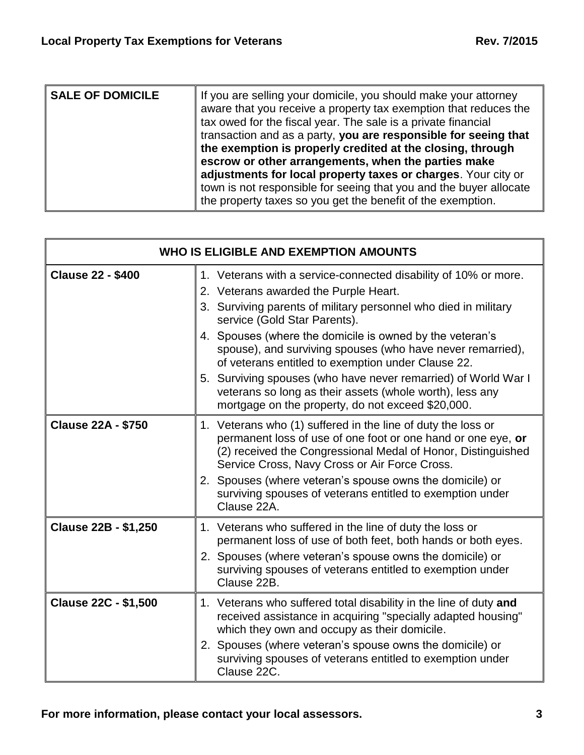| <b>SALE OF DOMICILE</b> | If you are selling your domicile, you should make your attorney<br>aware that you receive a property tax exemption that reduces the<br>tax owed for the fiscal year. The sale is a private financial<br>transaction and as a party, you are responsible for seeing that<br>the exemption is properly credited at the closing, through<br>escrow or other arrangements, when the parties make<br>adjustments for local property taxes or charges. Your city or<br>town is not responsible for seeing that you and the buyer allocate<br>the property taxes so you get the benefit of the exemption. |
|-------------------------|----------------------------------------------------------------------------------------------------------------------------------------------------------------------------------------------------------------------------------------------------------------------------------------------------------------------------------------------------------------------------------------------------------------------------------------------------------------------------------------------------------------------------------------------------------------------------------------------------|
|-------------------------|----------------------------------------------------------------------------------------------------------------------------------------------------------------------------------------------------------------------------------------------------------------------------------------------------------------------------------------------------------------------------------------------------------------------------------------------------------------------------------------------------------------------------------------------------------------------------------------------------|

| WHO IS ELIGIBLE AND EXEMPTION AMOUNTS |                                                                                                                                                                                                                                                                                                                                                                                                                                                                                                                                                                                |
|---------------------------------------|--------------------------------------------------------------------------------------------------------------------------------------------------------------------------------------------------------------------------------------------------------------------------------------------------------------------------------------------------------------------------------------------------------------------------------------------------------------------------------------------------------------------------------------------------------------------------------|
| <b>Clause 22 - \$400</b>              | 1. Veterans with a service-connected disability of 10% or more.<br>2. Veterans awarded the Purple Heart.<br>3. Surviving parents of military personnel who died in military<br>service (Gold Star Parents).<br>4. Spouses (where the domicile is owned by the veteran's<br>spouse), and surviving spouses (who have never remarried),<br>of veterans entitled to exemption under Clause 22.<br>5. Surviving spouses (who have never remarried) of World War I<br>veterans so long as their assets (whole worth), less any<br>mortgage on the property, do not exceed \$20,000. |
| <b>Clause 22A - \$750</b>             | 1. Veterans who (1) suffered in the line of duty the loss or<br>permanent loss of use of one foot or one hand or one eye, or<br>(2) received the Congressional Medal of Honor, Distinguished<br>Service Cross, Navy Cross or Air Force Cross.<br>2. Spouses (where veteran's spouse owns the domicile) or<br>surviving spouses of veterans entitled to exemption under<br>Clause 22A.                                                                                                                                                                                          |
| <b>Clause 22B - \$1,250</b>           | 1. Veterans who suffered in the line of duty the loss or<br>permanent loss of use of both feet, both hands or both eyes.<br>2. Spouses (where veteran's spouse owns the domicile) or<br>surviving spouses of veterans entitled to exemption under<br>Clause 22B.                                                                                                                                                                                                                                                                                                               |
| <b>Clause 22C - \$1,500</b>           | 1. Veterans who suffered total disability in the line of duty and<br>received assistance in acquiring "specially adapted housing"<br>which they own and occupy as their domicile.<br>2. Spouses (where veteran's spouse owns the domicile) or<br>surviving spouses of veterans entitled to exemption under<br>Clause 22C.                                                                                                                                                                                                                                                      |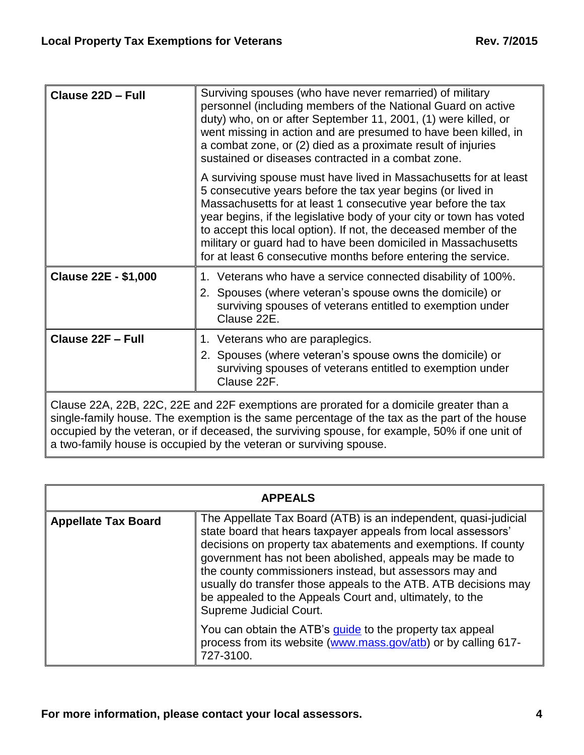| Clause 22D - Full           | Surviving spouses (who have never remarried) of military<br>personnel (including members of the National Guard on active<br>duty) who, on or after September 11, 2001, (1) were killed, or<br>went missing in action and are presumed to have been killed, in<br>a combat zone, or (2) died as a proximate result of injuries<br>sustained or diseases contracted in a combat zone.                                                                                           |
|-----------------------------|-------------------------------------------------------------------------------------------------------------------------------------------------------------------------------------------------------------------------------------------------------------------------------------------------------------------------------------------------------------------------------------------------------------------------------------------------------------------------------|
|                             | A surviving spouse must have lived in Massachusetts for at least<br>5 consecutive years before the tax year begins (or lived in<br>Massachusetts for at least 1 consecutive year before the tax<br>year begins, if the legislative body of your city or town has voted<br>to accept this local option). If not, the deceased member of the<br>military or guard had to have been domiciled in Massachusetts<br>for at least 6 consecutive months before entering the service. |
| <b>Clause 22E - \$1,000</b> | 1. Veterans who have a service connected disability of 100%.<br>2. Spouses (where veteran's spouse owns the domicile) or<br>surviving spouses of veterans entitled to exemption under<br>Clause 22E.                                                                                                                                                                                                                                                                          |
| Clause 22F - Full           | 1. Veterans who are paraplegics.<br>2. Spouses (where veteran's spouse owns the domicile) or<br>surviving spouses of veterans entitled to exemption under<br>Clause 22F.                                                                                                                                                                                                                                                                                                      |
|                             | Clause 22A, 22B, 22C, 22E and 22F exemptions are prorated for a domicile greater than a<br>single-family house. The exemption is the same percentage of the tax as the part of the house<br>a unicol les these categories of the concentration of the concentration of the concentration of the second leg                                                                                                                                                                    |

occupied by the veteran, or if deceased, the surviving spouse, for example, 50% if one unit of a two-family house is occupied by the veteran or surviving spouse.

| <b>APPEALS</b>             |                                                                                                                                                                                                                                                                                                                                                                                                                                                                                      |
|----------------------------|--------------------------------------------------------------------------------------------------------------------------------------------------------------------------------------------------------------------------------------------------------------------------------------------------------------------------------------------------------------------------------------------------------------------------------------------------------------------------------------|
| <b>Appellate Tax Board</b> | The Appellate Tax Board (ATB) is an independent, quasi-judicial<br>state board that hears taxpayer appeals from local assessors'<br>decisions on property tax abatements and exemptions. If county<br>government has not been abolished, appeals may be made to<br>the county commissioners instead, but assessors may and<br>usually do transfer those appeals to the ATB. ATB decisions may<br>be appealed to the Appeals Court and, ultimately, to the<br>Supreme Judicial Court. |
|                            | You can obtain the ATB's guide to the property tax appeal<br>process from its website (www.mass.gov/atb) or by calling 617-<br>727-3100.                                                                                                                                                                                                                                                                                                                                             |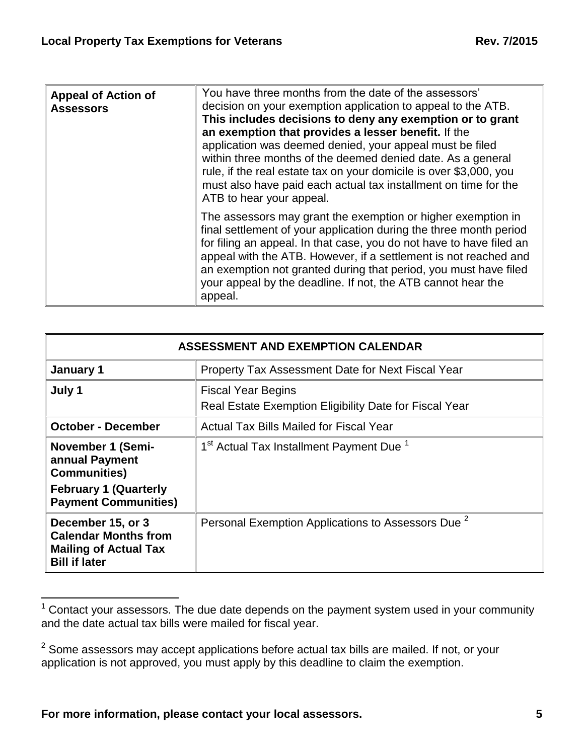| <b>Appeal of Action of</b><br><b>Assessors</b> | You have three months from the date of the assessors'<br>decision on your exemption application to appeal to the ATB.<br>This includes decisions to deny any exemption or to grant<br>an exemption that provides a lesser benefit. If the<br>application was deemed denied, your appeal must be filed<br>within three months of the deemed denied date. As a general<br>rule, if the real estate tax on your domicile is over \$3,000, you<br>must also have paid each actual tax installment on time for the<br>ATB to hear your appeal. |
|------------------------------------------------|-------------------------------------------------------------------------------------------------------------------------------------------------------------------------------------------------------------------------------------------------------------------------------------------------------------------------------------------------------------------------------------------------------------------------------------------------------------------------------------------------------------------------------------------|
|                                                | The assessors may grant the exemption or higher exemption in<br>final settlement of your application during the three month period<br>for filing an appeal. In that case, you do not have to have filed an<br>appeal with the ATB. However, if a settlement is not reached and<br>an exemption not granted during that period, you must have filed<br>your appeal by the deadline. If not, the ATB cannot hear the<br>appeal.                                                                                                             |

| <b>ASSESSMENT AND EXEMPTION CALENDAR</b>                                                                 |                                                                                     |
|----------------------------------------------------------------------------------------------------------|-------------------------------------------------------------------------------------|
| January 1                                                                                                | Property Tax Assessment Date for Next Fiscal Year                                   |
| July 1                                                                                                   | <b>Fiscal Year Begins</b><br>Real Estate Exemption Eligibility Date for Fiscal Year |
| <b>October - December</b>                                                                                | Actual Tax Bills Mailed for Fiscal Year                                             |
| <b>November 1 (Semi-</b><br>annual Payment<br><b>Communities</b> )                                       | 1 <sup>st</sup> Actual Tax Installment Payment Due <sup>1</sup>                     |
| <b>February 1 (Quarterly</b><br><b>Payment Communities)</b>                                              |                                                                                     |
| December 15, or 3<br><b>Calendar Months from</b><br><b>Mailing of Actual Tax</b><br><b>Bill if later</b> | Personal Exemption Applications to Assessors Due <sup>2</sup>                       |

 $1$  Contact your assessors. The due date depends on the payment system used in your community and the date actual tax bills were mailed for fiscal year.

 $\overline{a}$ 

 $2$  Some assessors may accept applications before actual tax bills are mailed. If not, or your application is not approved, you must apply by this deadline to claim the exemption.